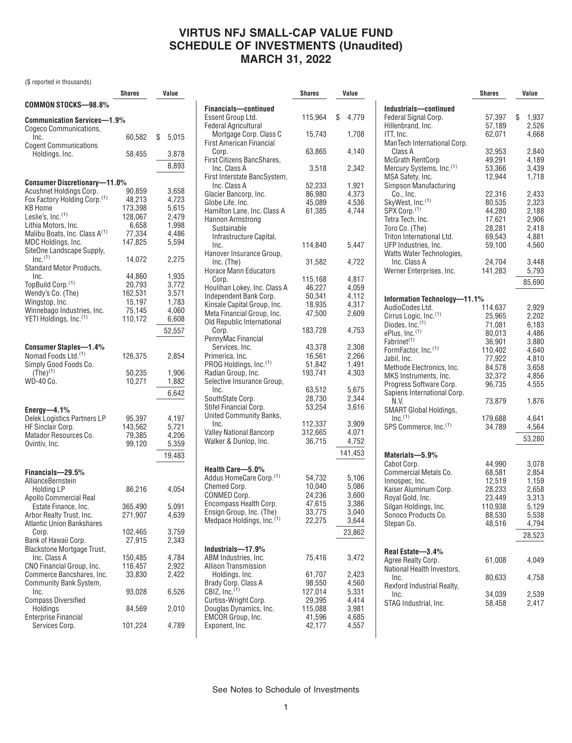# **VIRTUS NFJ SMALL-CAP VALUE FUND SCHEDULE OF INVESTMENTS (Unaudited) MARCH 31, 2022**

(\$ reported in thousands)

|                                                          | <b>Shares</b> | Value       |
|----------------------------------------------------------|---------------|-------------|
| COMMON STOCKS-98.8%                                      |               |             |
| Communication Services—1.9%<br>Cogeco Communications,    |               |             |
| Inc.<br><b>Cogent Communications</b>                     | 60,582        | \$<br>5,015 |
| Holdings, Inc.                                           | 58,455        | 3,878       |
|                                                          |               | 8,893       |
| <b>Consumer Discretionary-11.0%</b>                      |               |             |
| Acushnet Holdings Corp.                                  | 90,859        | 3,658       |
| Fox Factory Holding Corp. <sup>(1)</sup>                 | 48,213        | 4,723       |
| KB Home                                                  | 173,398       | 5,615       |
| Leslie's, Inc. <sup>(1)</sup>                            | 128,067       | 2,479       |
| Lithia Motors, Inc.                                      | 6,658         | 1,998       |
| Malibu Boats, Inc. Class A <sup>(1)</sup>                | 77,334        | 4,486       |
| MDC Holdings, Inc.<br>SiteOne Landscape Supply,          | 147,825       | 5,594       |
| $Inc.$ <sup>(1)</sup><br>Standard Motor Products,        | 14,072        | 2,275       |
| Inc.                                                     | 44,860        | 1,935       |
| TopBuild Corp. <sup>(1)</sup>                            | 20,793        | 3,772       |
| Wendy's Co. (The)                                        | 162,531       | 3,571       |
| Wingstop, Inc.                                           | 15,197        | 1,783       |
| Winnebago Industries, Inc.                               | 75,145        | 4,060       |
| YETI Holdings, Inc. <sup>(1)</sup>                       | 110,172       | 6,608       |
|                                                          |               | 52,557      |
|                                                          |               |             |
| Consumer Staples-1.4%                                    |               |             |
| Nomad Foods Ltd. <sup>(1)</sup><br>Simply Good Foods Co. | 126,375       | 2,854       |
| $(The)^{(1)}$                                            | 50,235        | 1,906       |
| WD-40 Co.                                                | 10,271        | 1,882       |
|                                                          |               |             |
|                                                          |               | 6,642       |
| Energy-4.1%                                              |               |             |
| Delek Logistics Partners LP                              | 95,397        | 4,197       |
| HF Sinclair Corp.                                        | 143,562       | 5,721       |
| Matador Resources Co.                                    | 79,385        | 4,206       |
| Ovintiv, Inc.                                            | 99,120        | 5,359       |
|                                                          |               | 19,483      |
| Financials-29.5%                                         |               |             |
| AllianceBernstein                                        |               |             |
| <b>Holding LP</b>                                        | 86,216        | 4,054       |
| Apollo Commercial Real                                   |               |             |
| Estate Finance, Inc.                                     | 365,490       | 5,091       |
| Arbor Realty Trust, Inc.                                 | 271,907       | 4,639       |
| <b>Atlantic Union Bankshares</b>                         |               |             |
| Corp.                                                    | 102,465       | 3,759       |
| Bank of Hawaii Corp.                                     | 27,915        | 2,343       |
| Blackstone Mortgage Trust,                               |               |             |
| Inc. Class A                                             | 150,485       | 4,784       |
| CNO Financial Group, Inc.                                | 116,457       | 2,922       |
| Commerce Bancshares, Inc.                                | 33,830        | 2,422       |
| Community Bank System,                                   |               |             |
| Inc.                                                     | 93,028        | 6,526       |
| <b>Compass Diversified</b>                               | 84,569        |             |
| Holdings<br><b>Enterprise Financial</b>                  |               | 2,010       |
| Services Corp.                                           | 101,224       | 4,789       |
|                                                          |               |             |

|                                                                   | Shares            | Value          |
|-------------------------------------------------------------------|-------------------|----------------|
| <b>Financials-continued</b>                                       |                   |                |
| Essent Group Ltd.                                                 | 115,964           | \$<br>4,779    |
| <b>Federal Agricultural</b>                                       |                   |                |
| Mortgage Corp. Class C                                            | 15,743            | 1,708          |
| <b>First American Financial</b>                                   |                   | 4,140          |
| Corp.<br>First Citizens BancShares,                               | 63,865            |                |
| Inc. Class A                                                      | 3,518             | 2,342          |
| First Interstate BancSystem,                                      |                   |                |
| Inc. Class A                                                      | 52,233            | 1,921          |
| Glacier Bancorp, Inc.                                             | 86,980            | 4,373          |
| Globe Life, Inc.<br>Hamilton Lane, Inc. Class A                   | 45,089<br>61,385  | 4,536<br>4,744 |
| Hannon Armstrong                                                  |                   |                |
| Sustainable                                                       |                   |                |
| Infrastructure Capital,                                           |                   |                |
| Inc.                                                              | 114,840           | 5,447          |
| Hanover Insurance Group,                                          |                   |                |
| Inc. (The)<br><b>Horace Mann Educators</b>                        | 31,582            | 4,722          |
| Corp.                                                             | 115,168           | 4,817          |
| Houlihan Lokey, Inc. Class A                                      | 46,227            | 4,059          |
| Independent Bank Corp.                                            | 50,341            | 4,112          |
| Kinsale Capital Group, Inc.                                       | 18,935            | 4,317          |
| Meta Financial Group, Inc.                                        | 47,500            | 2.609          |
| Old Republic International                                        |                   | 4.753          |
| Corp.<br>PennyMac Financial                                       | 183,728           |                |
| Services, Inc.                                                    | 43,378            | 2,308          |
| Primerica, Inc.                                                   | 16,561            | 2,266          |
| PROG Holdings, Inc.(1)                                            | 51,842            | 1,491          |
| Radian Group, Inc.                                                | 193,741           | 4,303          |
| Selective Insurance Group,<br>Inc.                                |                   |                |
| SouthState Corp.                                                  | 63,512<br>28,730  | 5,675<br>2,344 |
| Stifel Financial Corp.                                            | 53,254            | 3,616          |
| United Community Banks,                                           |                   |                |
| Inc.                                                              | 112,337           | 3,909          |
| <b>Valley National Bancorp</b>                                    | 312,665           | 4,071          |
| Walker & Dunlop, Inc.                                             | 36,715            | 4,752          |
|                                                                   |                   | 141,453        |
| Health Care-5.0%                                                  |                   |                |
| Addus HomeCare Corp. <sup>(1)</sup>                               | 54,732            | 5,106          |
| Chemed Corp.                                                      | 10,040            | 5,086          |
| CONMED Corp.                                                      | 24,236            | 3,600          |
| Encompass Health Corp.                                            | 47,615            | 3,386          |
| Ensign Group, Inc. (The)<br>Medpace Holdings, Inc. <sup>(1)</sup> | 33,775<br>22,275  | 3,040<br>3,644 |
|                                                                   |                   |                |
|                                                                   |                   | 23,862         |
| Industrials-17.9%                                                 |                   |                |
| ABM Industries, Inc.                                              | 75,416            | 3,472          |
| <b>Allison Transmission</b>                                       |                   |                |
| Holdings, Inc.                                                    | 61,707            | 2,423          |
| Brady Corp. Class A<br>CBIZ, $Inc.(1)$                            | 98,550<br>127,014 | 4,560<br>5,331 |
| Curtiss-Wright Corp.                                              | 29,395            | 4,414          |
| Douglas Dynamics, Inc.                                            | 115,088           | 3,981          |
| <b>EMCOR Group, Inc.</b>                                          | 41,596            | 4,685          |
| Exponent, Inc.                                                    | 42,177            | 4,557          |

|                                      | <b>Shares</b> | Value       |
|--------------------------------------|---------------|-------------|
| Industrials-continued                |               |             |
| Federal Signal Corp.                 | 57,397        | \$<br>1,937 |
| Hillenbrand, Inc.                    | 57,189        | 2,526       |
| ITT, Inc.                            | 62,071        | 4,668       |
| ManTech International Corp.          |               |             |
| Class A                              | 32,953        | 2,840       |
| <b>McGrath RentCorp</b>              | 49,291        | 4,189       |
| Mercury Systems, Inc. <sup>(1)</sup> | 53,366        | 3,439       |
| MSA Safety, Inc.                     | 12,944        | 1,718       |
| Simpson Manufacturing                |               |             |
| Co., Inc.                            | 22,316        | 2,433       |
| SkyWest, Inc. <sup>(1)</sup>         | 80,535        | 2,323       |
| SPX Corp.(1)                         | 44,280        |             |
|                                      |               | 2,188       |
| Tetra Tech, Inc.                     | 17,621        | 2,906       |
| Toro Co. (The)                       | 28,281        | 2,418       |
| Triton International Ltd.            | 69,543        | 4,881       |
| UFP Industries, Inc.                 | 59,100        | 4,560       |
| Watts Water Technologies,            |               |             |
| Inc. Class A                         | 24,704        | 3,448       |
| Werner Enterprises, Inc.             | 141,283       | 5,793       |
|                                      |               | 85,690      |
|                                      |               |             |
| Information Technology-11.1%         |               |             |
| AudioCodes Ltd.                      | 114,637       | 2,929       |
| Cirrus Logic, Inc. <sup>(1)</sup>    | 25,965        | 2,202       |
| Diodes, Inc.(1)                      | 71,081        | 6,183       |
| ePlus, Inc. <sup>(1)</sup>           | 80,013        | 4,486       |
| Fabrinet <sup>(1)</sup>              | 36,901        | 3,880       |
| FormFactor, Inc. <sup>(1)</sup>      | 110,402       | 4,640       |
| Jabil, Inc.                          | 77,922        | 4,810       |
| Methode Electronics, Inc.            | 84,578        | 3,658       |
| MKS Instruments, Inc.                | 32,372        | 4,856       |
| Progress Software Corp.              | 96,735        | 4,555       |
| Sapiens International Corp.          |               |             |
| N.V.                                 | 73,879        | 1,876       |
| <b>SMART Global Holdings,</b>        |               |             |
| $Inc.$ <sup>(1)</sup>                | 179,688       | 4,641       |
| SPS Commerce, Inc.(1)                | 34,789        | 4,564       |
|                                      |               |             |
|                                      |               | 53,280      |
| Materials-5.9%                       |               |             |
| Cabot Corp.                          | 44,990        | 3,078       |
| Commercial Metals Co.                | 68,581        | 2,854       |
| Innospec, Inc.                       | 12,519        | 1,159       |
| Kaiser Aluminum Corp.                | 28,233        | 2,658       |
| Royal Gold, Inc.                     | 23,449        | 3,313       |
|                                      |               |             |
| Silgan Holdings, Inc.                | 110,938       | 5,129       |
| Sonoco Products Co.                  | 88,530        | 5,538       |
| Stepan Co.                           | 48,516        | 4,794       |
|                                      |               | 28,523      |
|                                      |               |             |
| Real Estate-3.4%                     |               |             |
| Agree Realty Corp.                   | 61,008        | 4,049       |
| National Health Investors,           |               |             |
| Inc.                                 | 80,633        | 4,758       |
| Rexford Industrial Realty,           |               |             |
| Inc.                                 | 34.039        | 2,539       |
| STAG Industrial, Inc.                | 58,458        | 2,417       |
|                                      |               |             |

See Notes to Schedule of Investments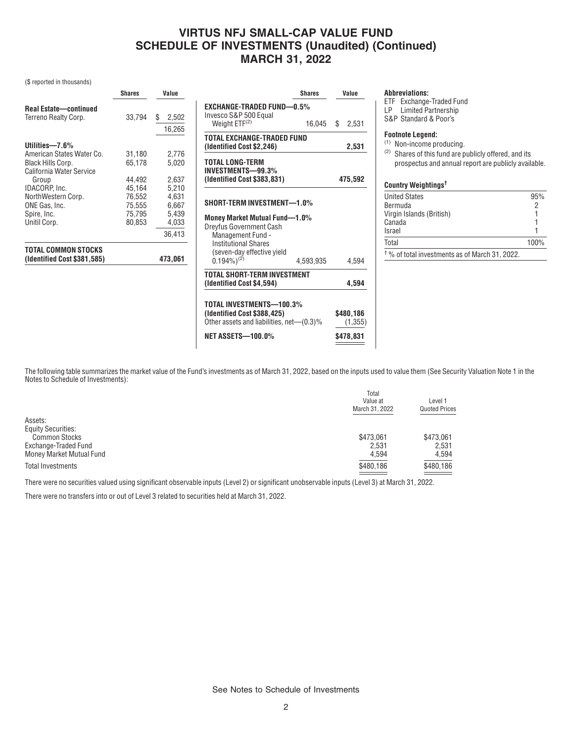# **VIRTUS NFJ SMALL-CAP VALUE FUND SCHEDULE OF INVESTMENTS (Unaudited) (Continued) MARCH 31, 2022**

### (\$ reported in thousands)

|                                                                            | <b>Shares</b>                        | Value                            | <b>Shares</b>                                                                                                    | Value                 |
|----------------------------------------------------------------------------|--------------------------------------|----------------------------------|------------------------------------------------------------------------------------------------------------------|-----------------------|
| <b>Real Estate-continued</b><br>Terreno Realty Corp.                       | 33,794                               | 2,502<br>\$<br>16,265            | <b>EXCHANGE-TRADED FUND-0.5%</b><br>Invesco S&P 500 Equal<br>Weight $ETF(2)$<br>16.045                           | 2,531<br>S            |
| Utilities-7.6%                                                             |                                      |                                  | TOTAL EXCHANGE-TRADED FUND<br>(Identified Cost \$2,246)                                                          | 2,531                 |
| American States Water Co.<br>Black Hills Corp.<br>California Water Service | 31,180<br>65.178                     | 2,776<br>5,020                   | TOTAL LONG-TERM<br>INVESTMENTS-99.3%                                                                             |                       |
| Group<br>IDACORP, Inc.                                                     | 44,492<br>45,164                     | 2,637<br>5,210                   | (Identified Cost \$383,831)                                                                                      | 475,592               |
| NorthWestern Corp.<br>ONE Gas, Inc.<br>Spire, Inc.<br>Unitil Corp.         | 76,552<br>75,555<br>75,795<br>80,853 | 4,631<br>6,667<br>5,439<br>4,033 | SHORT-TERM INVESTMENT-1.0%<br><b>Money Market Mutual Fund-1.0%</b><br>Dreyfus Government Cash                    |                       |
| TOTAL COMMON STOCKS<br>(Identified Cost \$381,585)                         |                                      | 36,413<br>473,061                | Management Fund -<br><b>Institutional Shares</b><br>(seven-day effective yield<br>$(0.194\%)^{(2)}$<br>4,593,935 | 4,594                 |
|                                                                            |                                      |                                  | TOTAL SHORT-TERM INVESTMENT<br>(Identified Cost \$4,594)                                                         | 4.594                 |
|                                                                            |                                      |                                  | TOTAL INVESTMENTS-100.3%<br>(Identified Cost \$388,425)<br>Other assets and liabilities, net-(0.3)%              | \$480,186<br>(1, 355) |
|                                                                            |                                      |                                  | <b>NET ASSETS-100.0%</b>                                                                                         | \$478,831             |

#### **Abbreviations:**

**(Identified Cost \$4,594) 4,594**

ETF Exchange-Traded Fund

LP Limited Partnership

S&P Standard & Poor's

## **Footnote Legend:**

(1) Non-income producing.

(2) Shares of this fund are publicly offered, and its prospectus and annual report are publicly available.

### **Country Weightings†**

| <b>United States</b>                                      | 95%  |
|-----------------------------------------------------------|------|
| Bermuda                                                   | 2    |
| Virgin Islands (British)                                  |      |
| Canada                                                    |      |
| Israel                                                    |      |
| Total                                                     | 100% |
| <sup>†</sup> % of total investments as of March 31, 2022. |      |

The following table summarizes the market value of the Fund's investments as of March 31, 2022, based on the inputs used to value them (See Security Valuation Note 1 in the Notes to Schedule of Investments):

|                           | Total<br>Value at<br>March 31, 2022 | Level 1<br><b>Quoted Prices</b> |
|---------------------------|-------------------------------------|---------------------------------|
| Assets:                   |                                     |                                 |
| <b>Equity Securities:</b> |                                     |                                 |
| <b>Common Stocks</b>      | \$473,061                           | \$473,061                       |
| Exchange-Traded Fund      | 2.531                               | 2,531                           |
| Money Market Mutual Fund  | 4,594                               | 4,594                           |
| Total Investments         | \$480,186                           | \$480,186                       |
|                           |                                     |                                 |

There were no securities valued using significant observable inputs (Level 2) or significant unobservable inputs (Level 3) at March 31, 2022.

There were no transfers into or out of Level 3 related to securities held at March 31, 2022.

See Notes to Schedule of Investments